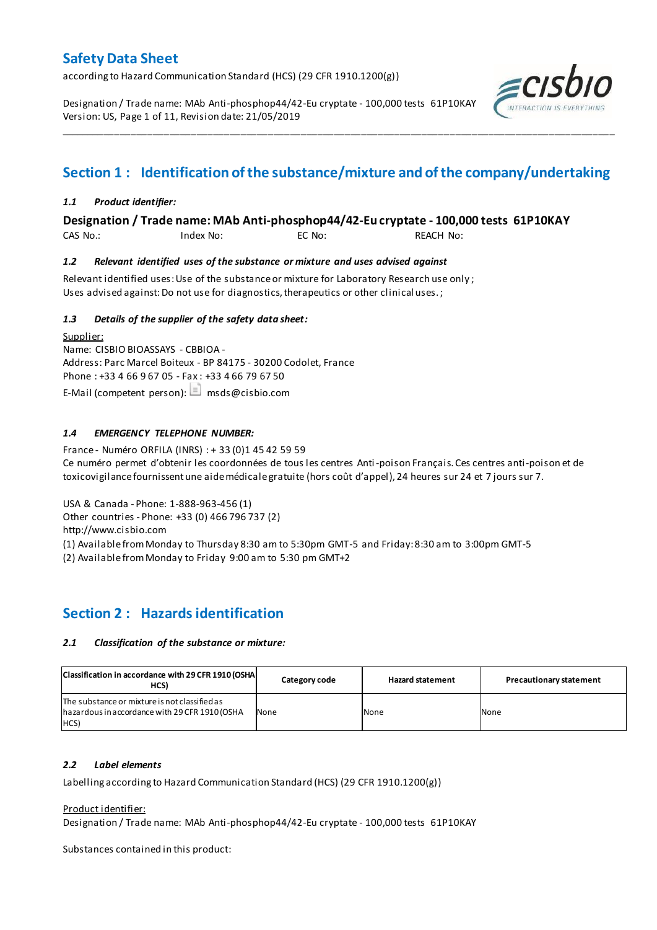according to Hazard Communication Standard (HCS) (29 CFR 1910.1200(g))

Designation / Trade name: MAb Anti-phosphop44/42-Eu cryptate - 100,000 tests 61P10KAY Version: US, Page 1 of 11, Revision date: 21/05/2019



# **Section 1 : Identification of the substance/mixture and of the company/undertaking**

\_\_\_\_\_\_\_\_\_\_\_\_\_\_\_\_\_\_\_\_\_\_\_\_\_\_\_\_\_\_\_\_\_\_\_\_\_\_\_\_\_\_\_\_\_\_\_\_\_\_\_\_\_\_\_\_\_\_\_\_\_\_\_\_\_\_\_\_\_\_\_\_\_\_\_\_\_\_\_\_\_\_\_\_\_\_\_\_\_\_\_\_\_\_\_\_\_\_\_\_\_

### *1.1 Product identifier:*

**Designation / Trade name: MAb Anti-phosphop44/42-Eu cryptate - 100,000 tests 61P10KAY** 

CAS No.: Index No: EC No: REACH No:

#### *1.2 Relevant identified uses of the substance or mixture and uses advised against*

Relevant identified uses: Use of the substance or mixture for Laboratory Research use only ; Uses advised against: Do not use for diagnostics, therapeutics or other clinical uses.;

#### *1.3 Details of the supplier of the safety data sheet:*

Supplier: Name: CISBIO BIOASSAYS - CBBIOA - Address: Parc Marcel Boiteux - BP 84175 - 30200 Codolet, France Phone : +33 4 66 9 67 05 - Fax : +33 4 66 79 67 50 E-Mail (competent person):  $\Box$  msds@cisbio.com

#### *1.4 EMERGENCY TELEPHONE NUMBER:*

France - Numéro ORFILA (INRS) : + 33 (0)1 45 42 59 59 Ce numéro permet d'obtenir les coordonnées de tous les centres Anti-poison Français. Ces centres anti-poison et de toxicovigilance fournissent une aide médicale gratuite (hors coût d'appel), 24 heures sur 24 et 7 jours sur 7.

USA & Canada - Phone: 1-888-963-456 (1)

Other countries - Phone: +33 (0) 466 796 737 (2)

http://www.cisbio.com

(1) Available from Monday to Thursday 8:30 am to 5:30pm GMT-5 and Friday: 8:30 am to 3:00pm GMT-5

(2) Available from Monday to Friday 9:00 am to 5:30 pm GMT+2

### **Section 2 : Hazards identification**

#### *2.1 Classification of the substance or mixture:*

| Classification in accordance with 29 CFR 1910 (OSHA<br>HCS)                                             | Category code | <b>Hazard statement</b> | <b>Precautionary statement</b> |
|---------------------------------------------------------------------------------------------------------|---------------|-------------------------|--------------------------------|
| The substance or mixture is not classified as<br>hazardous in accordance with 29 CFR 1910 (OSHA<br>HCS) | None          | None                    | None                           |

#### *2.2 Label elements*

Labelling according to Hazard Communication Standard (HCS) (29 CFR 1910.1200(g))

#### Product identifier:

Designation / Trade name: MAb Anti-phosphop44/42-Eu cryptate - 100,000 tests 61P10KAY

Substances contained in this product: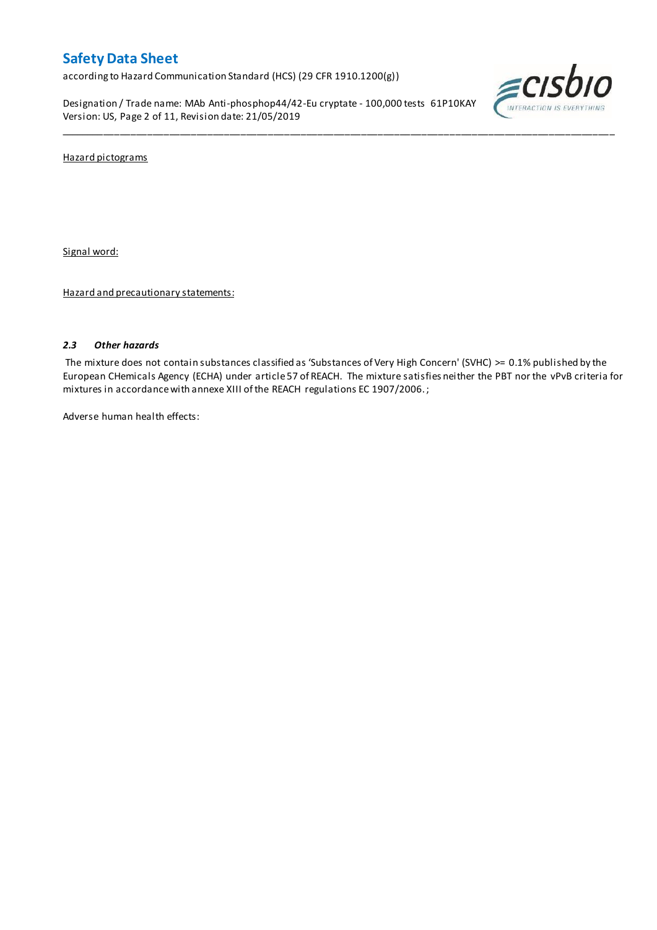according to Hazard Communication Standard (HCS) (29 CFR 1910.1200(g))

Designation / Trade name: MAb Anti-phosphop44/42-Eu cryptate - 100,000 tests 61P10KAY Version: US, Page 2 of 11, Revision date: 21/05/2019



Hazard pictograms

Signal word:

Hazard and precautionary statements:

#### *2.3 Other hazards*

The mixture does not contain substances classified as 'Substances of Very High Concern' (SVHC) >= 0.1% published by the European CHemicals Agency (ECHA) under article 57 of REACH. The mixture satisfies neither the PBT nor the vPvB criteria for mixtures in accordance with annexe XIII of the REACH regulations EC 1907/2006. ;

\_\_\_\_\_\_\_\_\_\_\_\_\_\_\_\_\_\_\_\_\_\_\_\_\_\_\_\_\_\_\_\_\_\_\_\_\_\_\_\_\_\_\_\_\_\_\_\_\_\_\_\_\_\_\_\_\_\_\_\_\_\_\_\_\_\_\_\_\_\_\_\_\_\_\_\_\_\_\_\_\_\_\_\_\_\_\_\_\_\_\_\_\_\_\_\_\_\_\_\_\_

Adverse human health effects: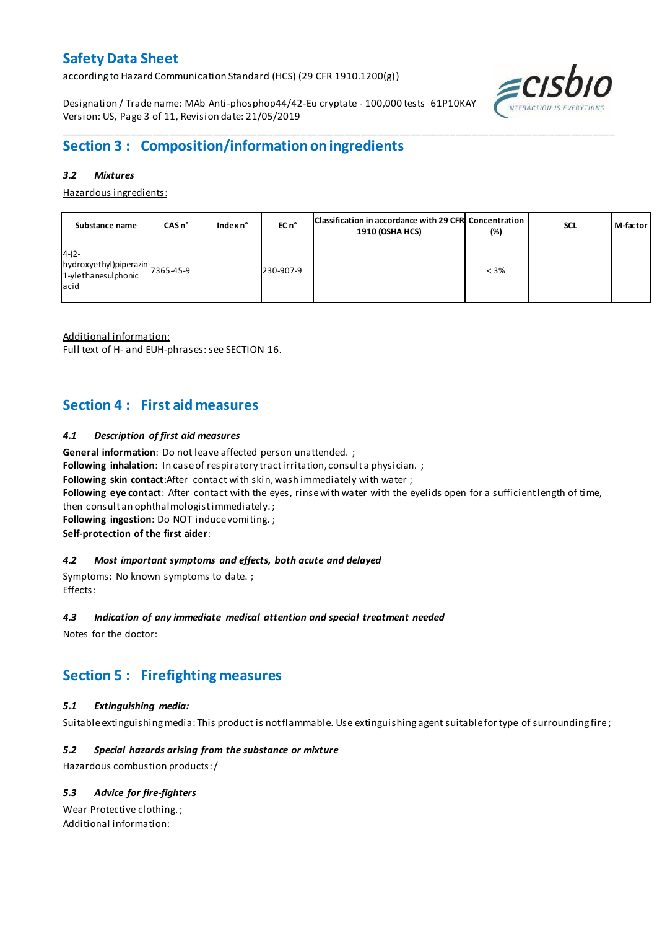according to Hazard Communication Standard (HCS) (29 CFR 1910.1200(g))

Designation / Trade name: MAb Anti-phosphop44/42-Eu cryptate - 100,000 tests 61P10KAY Version: US, Page 3 of 11, Revision date: 21/05/2019



# **Section 3 : Composition/information on ingredients**

#### *3.2 Mixtures*

Hazardous ingredients:

| Substance name                                                               | CAS <sub>n</sub> ° | Index $n^{\circ}$ | EC n <sup>o</sup> | Classification in accordance with 29 CFR Concentration<br>1910 (OSHA HCS) | $(\%)$  | <b>SCL</b> | M-factor |
|------------------------------------------------------------------------------|--------------------|-------------------|-------------------|---------------------------------------------------------------------------|---------|------------|----------|
| $4-(2-$<br>hydroxyethyl)piperazin-<br>1-ylethanesulphonic 7365-45-9<br>lacid |                    |                   | 230-907-9         |                                                                           | $< 3\%$ |            |          |

\_\_\_\_\_\_\_\_\_\_\_\_\_\_\_\_\_\_\_\_\_\_\_\_\_\_\_\_\_\_\_\_\_\_\_\_\_\_\_\_\_\_\_\_\_\_\_\_\_\_\_\_\_\_\_\_\_\_\_\_\_\_\_\_\_\_\_\_\_\_\_\_\_\_\_\_\_\_\_\_\_\_\_\_\_\_\_\_\_\_\_\_\_\_\_\_\_\_\_\_\_

Additional information:

Full text of H- and EUH-phrases: see SECTION 16.

### **Section 4 : First aid measures**

#### *4.1 Description of first aid measures*

**General information**: Do not leave affected person unattended. ;

Following inhalation: In case of respiratory tract irritation, consult a physician. ;

**Following skin contact**:After contact with skin, wash immediately with water ;

**Following eye contact**: After contact with the eyes, rinse with water with the eyelids open for a sufficient length of time,

then consult an ophthalmologist immediately. ;

**Following ingestion**: Do NOT induce vomiting. ;

**Self-protection of the first aider**:

#### *4.2 Most important symptoms and effects, both acute and delayed*

Symptoms: No known symptoms to date. ; Effects:

#### *4.3 Indication of any immediate medical attention and special treatment needed*

Notes for the doctor:

# **Section 5 : Firefighting measures**

### *5.1 Extinguishing media:*

Suitable extinguishing media: This product is not flammable. Use extinguishing agent suitable for type of surrounding fire ;

### *5.2 Special hazards arising from the substance or mixture*

Hazardous combustion products:/

### *5.3 Advice for fire-fighters*

Wear Protective clothing. ; Additional information: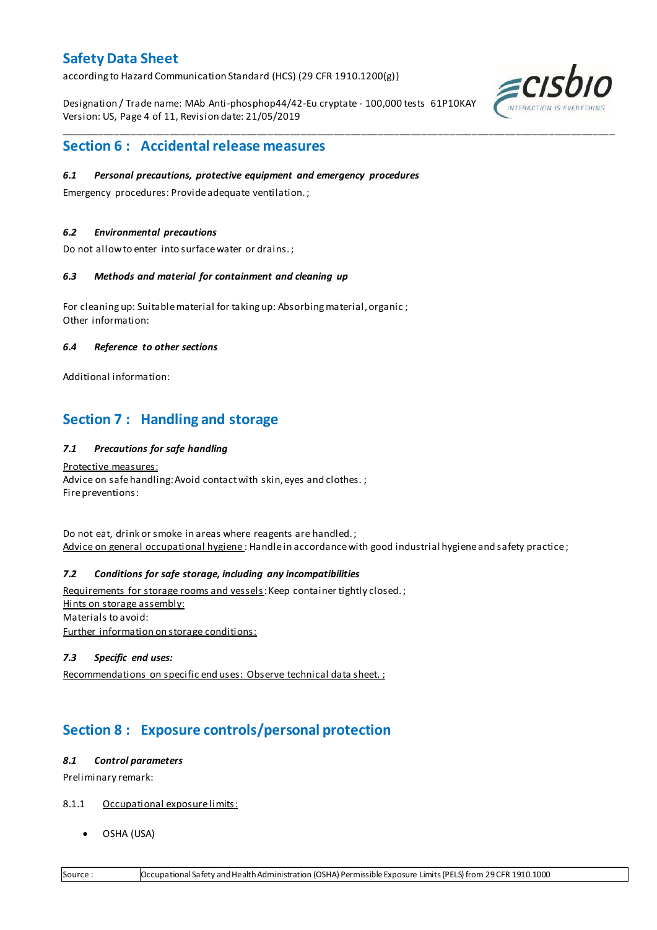according to Hazard Communication Standard (HCS) (29 CFR 1910.1200(g))

Designation / Trade name: MAb Anti-phosphop44/42-Eu cryptate - 100,000 tests 61P10KAY Version: US, Page 4 of 11, Revision date: 21/05/2019

\_\_\_\_\_\_\_\_\_\_\_\_\_\_\_\_\_\_\_\_\_\_\_\_\_\_\_\_\_\_\_\_\_\_\_\_\_\_\_\_\_\_\_\_\_\_\_\_\_\_\_\_\_\_\_\_\_\_\_\_\_\_\_\_\_\_\_\_\_\_\_\_\_\_\_\_\_\_\_\_\_\_\_\_\_\_\_\_\_\_\_\_\_\_\_\_\_\_\_\_\_



### **Section 6 : Accidental release measures**

#### *6.1 Personal precautions, protective equipment and emergency procedures*

Emergency procedures: Provide adequate ventilation. ;

#### *6.2 Environmental precautions*

Do not allow to enter into surface water or drains. ;

#### *6.3 Methods and material for containment and cleaning up*

For cleaning up: Suitable material for taking up: Absorbing material, organic ; Other information:

#### *6.4 Reference to other sections*

Additional information:

### **Section 7 : Handling and storage**

#### *7.1 Precautions for safe handling*

Protective measures: Advice on safe handling: Avoid contact with skin, eyes and clothes.; Fire preventions:

Do not eat, drink or smoke in areas where reagents are handled. ; Advice on general occupational hygiene: Handle in accordance with good industrial hygiene and safety practice;

### *7.2 Conditions for safe storage, including any incompatibilities*

Requirements for storage rooms and vessels: Keep container tightly closed.; Hints on storage assembly: Materials to avoid: Further information on storage conditions:

#### *7.3 Specific end uses:*

Recommendations on specific end uses: Observe technical data sheet. ;

# **Section 8 : Exposure controls/personal protection**

#### *8.1 Control parameters*

Preliminary remark:

- 8.1.1 Occupational exposure limits:
	- OSHA (USA)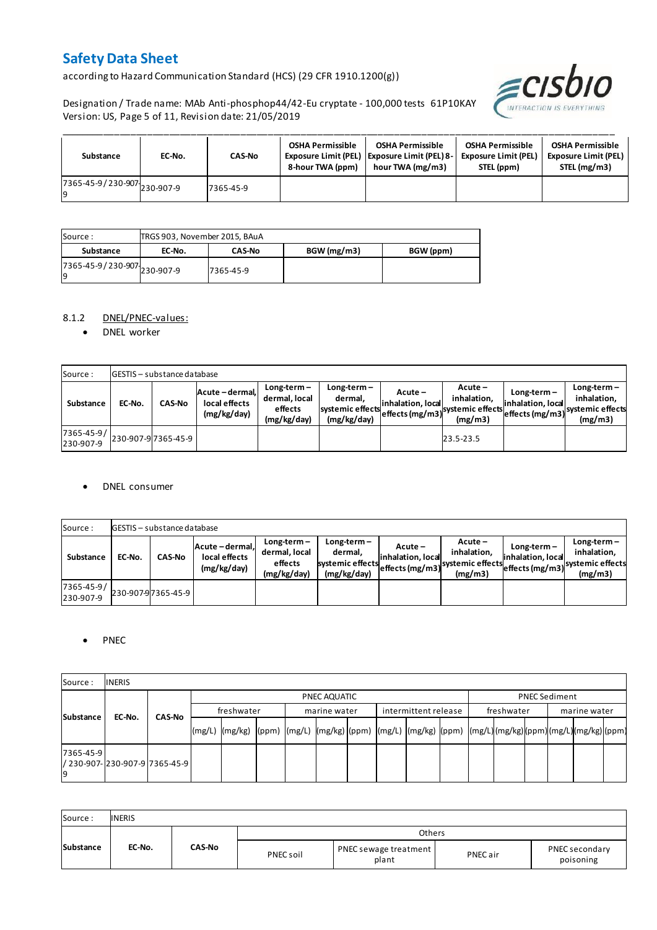according to Hazard Communication Standard (HCS) (29 CFR 1910.1200(g))





| Substance                              | EC-No. | <b>CAS-No</b> | OSHA Permissible<br>8-hour TWA (ppm) | <b>OSHA Permissible</b><br>Exposure Limit (PEL) Exposure Limit (PEL) 8-<br>hour TWA (mg/m3) | <b>OSHA Permissible</b><br><b>Exposure Limit (PEL)</b><br>STEL (ppm) | <b>OSHA Permissible</b><br><b>Exposure Limit (PEL)</b><br>STEL (mg/m3) |
|----------------------------------------|--------|---------------|--------------------------------------|---------------------------------------------------------------------------------------------|----------------------------------------------------------------------|------------------------------------------------------------------------|
| $17365 - 45 - 9 / 230 - 907$ 230-907-9 |        | 7365-45-9     |                                      |                                                                                             |                                                                      |                                                                        |

| Source :                           |        | TRGS 903, November 2015, BAuA |             |           |  |  |  |  |
|------------------------------------|--------|-------------------------------|-------------|-----------|--|--|--|--|
| Substance                          | EC-No. | <b>CAS-No</b>                 | BGW (mg/m3) | BGW (ppm) |  |  |  |  |
| 7365-45-9 / 230-907 230-907-9<br>g |        | 7365-45-9                     |             |           |  |  |  |  |

#### 8.1.2 DNEL/PNEC-values:

• DNEL worker

| Source:                 |        | <b>GESTIS</b> - substance database |                                                 |                                                          |                                                             |                              |                                                                                                            |                                    |                                         |
|-------------------------|--------|------------------------------------|-------------------------------------------------|----------------------------------------------------------|-------------------------------------------------------------|------------------------------|------------------------------------------------------------------------------------------------------------|------------------------------------|-----------------------------------------|
| Substance               | EC-No. | <b>CAS-No</b>                      | Acute - dermal,<br>local effects<br>(mg/kg/day) | $Long-term -$<br>dermal, local<br>effects<br>(mg/kg/day) | $Long-term -$<br>dermal.<br>systemic effects<br>(mg/kg/day) | Acute –<br>inhalation, local | $Acute -$<br>inhalation.<br>effects (mg/m3) <sup>systemic</sup> effects (mg/m3)systemic effects<br>(mg/m3) | $Long-term -$<br>inhalation, local | $Long-term -$<br>inhalation.<br>(mg/m3) |
| 7365-45-9/<br>230-907-9 |        | 230-907-9 7365-45-9                |                                                 |                                                          |                                                             |                              | 23.5-23.5                                                                                                  |                                    |                                         |

#### DNEL consumer

| Source:                 |        | GESTIS - substance database |                                               |                                                          |                                                             |                              |                                                                                             |                                  |                                                                             |
|-------------------------|--------|-----------------------------|-----------------------------------------------|----------------------------------------------------------|-------------------------------------------------------------|------------------------------|---------------------------------------------------------------------------------------------|----------------------------------|-----------------------------------------------------------------------------|
| Substance               | EC-No. | <b>CAS-No</b>               | Acute-dermal,<br>local effects<br>(mg/kg/day) | $Long-term -$<br>dermal, local<br>effects<br>(mg/kg/day) | $Long-term -$<br>dermal.<br>systemic effects<br>(mg/kg/day) | Acute –<br>inhalation. local | $Acute -$<br>inhalation.<br>--->leffects (mg/m3) systemic effects <sub>et-</sub><br>(mg/m3) | Long-term –<br>inhalation. local | $Long-term -$<br>inhalation.<br>effects (mg/m3) systemic effects<br>(mg/m3) |
| 7365-45-9/<br>230-907-9 |        | 230-907-97365-45-9          |                                               |                                                          |                                                             |                              |                                                                                             |                                  |                                                                             |

#### • PNEC

| Source:         | <b>INERIS</b>                   |               |            |              |  |  |              |  |                      |  |            |  |                      |  |  |  |  |
|-----------------|---------------------------------|---------------|------------|--------------|--|--|--------------|--|----------------------|--|------------|--|----------------------|--|--|--|--|
|                 |                                 |               |            | PNEC AQUATIC |  |  |              |  |                      |  |            |  | <b>PNEC Sediment</b> |  |  |  |  |
|                 | Substance<br>EC-No.             | <b>CAS-No</b> | freshwater |              |  |  | marine water |  | intermittent release |  | freshwater |  | marine water         |  |  |  |  |
|                 |                                 |               | (mg/L)     |              |  |  |              |  |                      |  |            |  |                      |  |  |  |  |
| 7365-45-9<br>۱q | / 230-907-1230-907-917365-45-91 |               |            |              |  |  |              |  |                      |  |            |  |                      |  |  |  |  |

| Source:   | <b>INERIS</b> |               |           |                                |          |                             |
|-----------|---------------|---------------|-----------|--------------------------------|----------|-----------------------------|
|           |               |               |           | Others                         |          |                             |
| Substance | EC-No.        | <b>CAS-No</b> | PNEC soil | PNEC sewage treatment<br>plant | PNEC air | PNEC secondary<br>poisoning |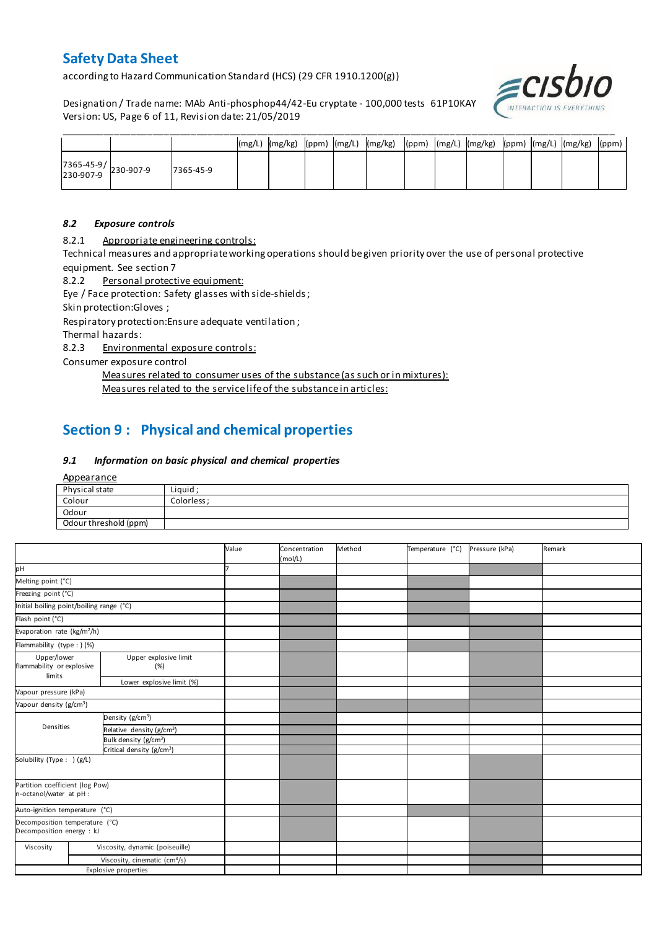according to Hazard Communication Standard (HCS) (29 CFR 1910.1200(g))

Designation / Trade name: MAb Anti-phosphop44/42-Eu cryptate - 100,000 tests 61P10KAY Version: US, Page 6 of 11, Revision date: 21/05/2019



|                                                                                       |           |  |  | (mg/L)  (mg/kg)  (ppm)  (mg/L)  (mg/kg)  (ppm)  (mg/L)  (mg/kg)  (ppm)  (mg/L)  (mg/kg)  (ppm) |  |  |  |  |
|---------------------------------------------------------------------------------------|-----------|--|--|------------------------------------------------------------------------------------------------|--|--|--|--|
| $\begin{array}{ c c c c }\n 7365-45-9 & & 230-907-9 \\ 230-907-9 & & & \n\end{array}$ | 7365-45-9 |  |  |                                                                                                |  |  |  |  |

#### *8.2 Exposure controls*

8.2.1 Appropriate engineering controls:

Technical measures and appropriate working operations should be given priority over the use of personal protective equipment. See section 7

8.2.2 Personal protective equipment:

Eye / Face protection: Safety glasses with side-shields ;

Skin protection:Gloves ;

Respiratory protection:Ensure adequate ventilation ;

Thermal hazards:

8.2.3 Environmental exposure controls:

Consumer exposure control

Measures related to consumer uses of the substance (as such or in mixtures): Measures related to the service life of the substance in articles:

# **Section 9 : Physical and chemical properties**

#### *9.1 Information on basic physical and chemical properties*

**Appearance** 

| Physical state        | Liguid     |
|-----------------------|------------|
| Colour                | Colorless: |
| Odour                 |            |
| Odour threshold (ppm) |            |

|                                                             |                                                                          |                                           | Value | Concentration<br>(mol/L) | Method | Temperature (°C) | Pressure (kPa) | Remark |
|-------------------------------------------------------------|--------------------------------------------------------------------------|-------------------------------------------|-------|--------------------------|--------|------------------|----------------|--------|
| pH                                                          |                                                                          |                                           |       |                          |        |                  |                |        |
| Melting point (°C)                                          |                                                                          |                                           |       |                          |        |                  |                |        |
| Freezing point (°C)                                         |                                                                          |                                           |       |                          |        |                  |                |        |
| Initial boiling point/boiling range (°C)                    |                                                                          |                                           |       |                          |        |                  |                |        |
| Flash point (°C)                                            |                                                                          |                                           |       |                          |        |                  |                |        |
| Evaporation rate (kg/m <sup>2</sup> /h)                     |                                                                          |                                           |       |                          |        |                  |                |        |
| Flammability (type : ) (%)                                  |                                                                          |                                           |       |                          |        |                  |                |        |
| limits                                                      | Upper/lower<br>Upper explosive limit<br>flammability or explosive<br>(%) |                                           |       |                          |        |                  |                |        |
| Lower explosive limit (%)                                   |                                                                          |                                           |       |                          |        |                  |                |        |
| Vapour pressure (kPa)                                       |                                                                          |                                           |       |                          |        |                  |                |        |
| Vapour density (g/cm <sup>3</sup> )                         |                                                                          |                                           |       |                          |        |                  |                |        |
|                                                             |                                                                          | Density (g/cm <sup>3</sup> )              |       |                          |        |                  |                |        |
| Densities                                                   |                                                                          | Relative density (g/cm <sup>3</sup> )     |       |                          |        |                  |                |        |
|                                                             |                                                                          | Bulk density (g/cm <sup>3</sup> )         |       |                          |        |                  |                |        |
|                                                             |                                                                          | Critical density (g/cm <sup>3</sup> )     |       |                          |        |                  |                |        |
| Solubility (Type: ) (g/L)                                   |                                                                          |                                           |       |                          |        |                  |                |        |
| Partition coefficient (log Pow)<br>n-octanol/water at pH :  |                                                                          |                                           |       |                          |        |                  |                |        |
| Auto-ignition temperature (°C)                              |                                                                          |                                           |       |                          |        |                  |                |        |
| Decomposition temperature (°C)<br>Decomposition energy : kJ |                                                                          |                                           |       |                          |        |                  |                |        |
| Viscosity                                                   |                                                                          | Viscosity, dynamic (poiseuille)           |       |                          |        |                  |                |        |
|                                                             |                                                                          | Viscosity, cinematic (cm <sup>3</sup> /s) |       |                          |        |                  |                |        |
|                                                             |                                                                          | <b>Explosive properties</b>               |       |                          |        |                  |                |        |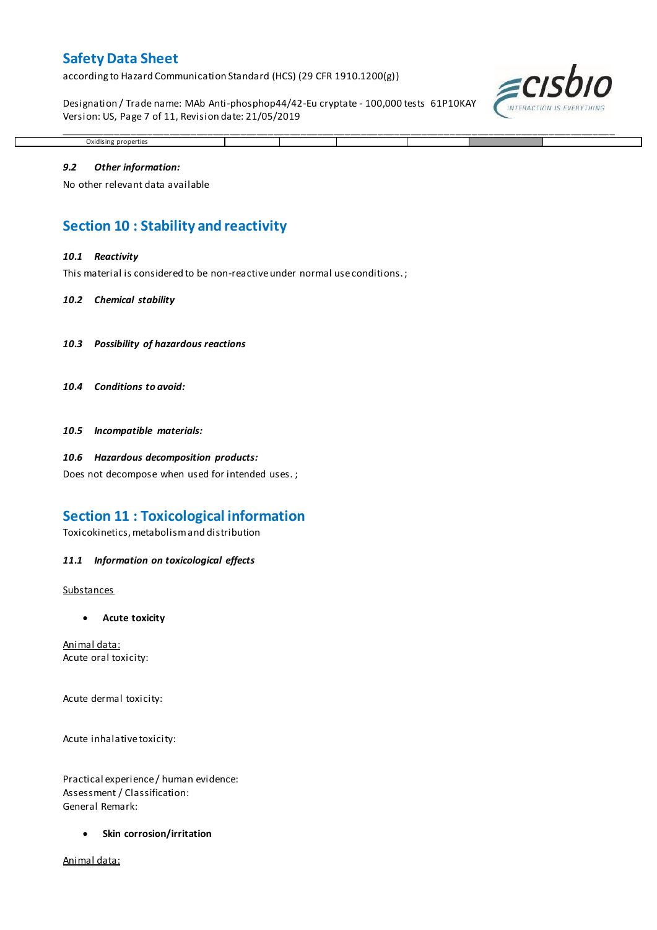according to Hazard Communication Standard (HCS) (29 CFR 1910.1200(g))

Designation / Trade name: MAb Anti-phosphop44/42-Eu cryptate - 100,000 tests 61P10KAY Version: US, Page 7 of 11, Revision date: 21/05/2019

\_\_\_\_\_\_\_\_\_\_\_\_\_\_\_\_\_\_\_\_\_\_\_\_\_\_\_\_\_\_\_\_\_\_\_\_\_\_\_\_\_\_\_\_\_\_\_\_\_\_\_\_\_\_\_\_\_\_\_\_\_\_\_\_\_\_\_\_\_\_\_\_\_\_\_\_\_\_\_\_\_\_\_\_\_\_\_\_\_\_\_\_\_\_\_\_\_\_\_\_\_



# *9.2 Other information:*

Oxidising properties

No other relevant data available

### **Section 10 : Stability and reactivity**

#### *10.1 Reactivity*

This material is considered to be non-reactive under normal use conditions. ;

#### *10.2 Chemical stability*

- *10.3 Possibility of hazardous reactions*
- *10.4 Conditions to avoid:*

*10.5 Incompatible materials:*

#### *10.6 Hazardous decomposition products:*

Does not decompose when used for intended uses. ;

### **Section 11 : Toxicological information**

Toxicokinetics, metabolism and distribution

#### *11.1 Information on toxicological effects*

#### **Substances**

**Acute toxicity**

Animal data: Acute oral toxicity:

Acute dermal toxicity:

Acute inhalative toxicity:

Practical experience / human evidence: Assessment / Classification: General Remark:

**Skin corrosion/irritation**

Animal data: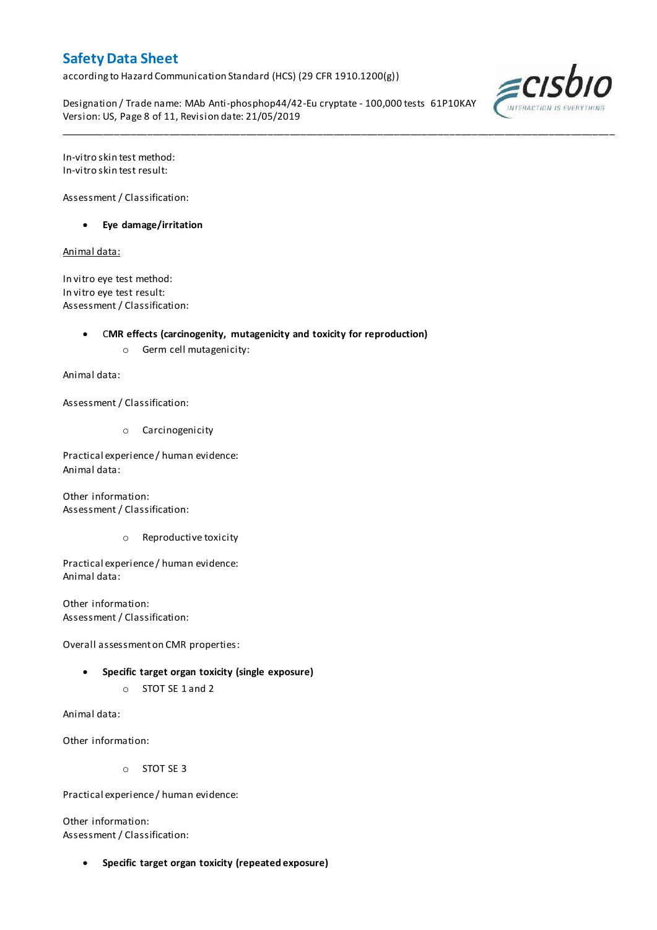according to Hazard Communication Standard (HCS) (29 CFR 1910.1200(g))

Designation / Trade name: MAb Anti-phosphop44/42-Eu cryptate - 100,000 tests 61P10KAY Version: US, Page 8 of 11, Revision date: 21/05/2019

\_\_\_\_\_\_\_\_\_\_\_\_\_\_\_\_\_\_\_\_\_\_\_\_\_\_\_\_\_\_\_\_\_\_\_\_\_\_\_\_\_\_\_\_\_\_\_\_\_\_\_\_\_\_\_\_\_\_\_\_\_\_\_\_\_\_\_\_\_\_\_\_\_\_\_\_\_\_\_\_\_\_\_\_\_\_\_\_\_\_\_\_\_\_\_\_\_\_\_\_\_



In-vitro skin test method: In-vitro skin test result:

Assessment / Classification:

**Eye damage/irritation**

Animal data:

In vitro eye test method: In vitro eye test result: Assessment / Classification:

C**MR effects (carcinogenity, mutagenicity and toxicity for reproduction)**

o Germ cell mutagenicity:

Animal data:

Assessment / Classification:

o Carcinogenicity

Practical experience / human evidence: Animal data:

Other information: Assessment / Classification:

o Reproductive toxicity

Practical experience / human evidence: Animal data:

Other information: Assessment / Classification:

Overall assessment on CMR properties:

- **Specific target organ toxicity (single exposure)**
	- o STOT SE 1 and 2

Animal data:

Other information:

o STOT SE 3

Practical experience / human evidence:

Other information: Assessment / Classification:

**Specific target organ toxicity (repeated exposure)**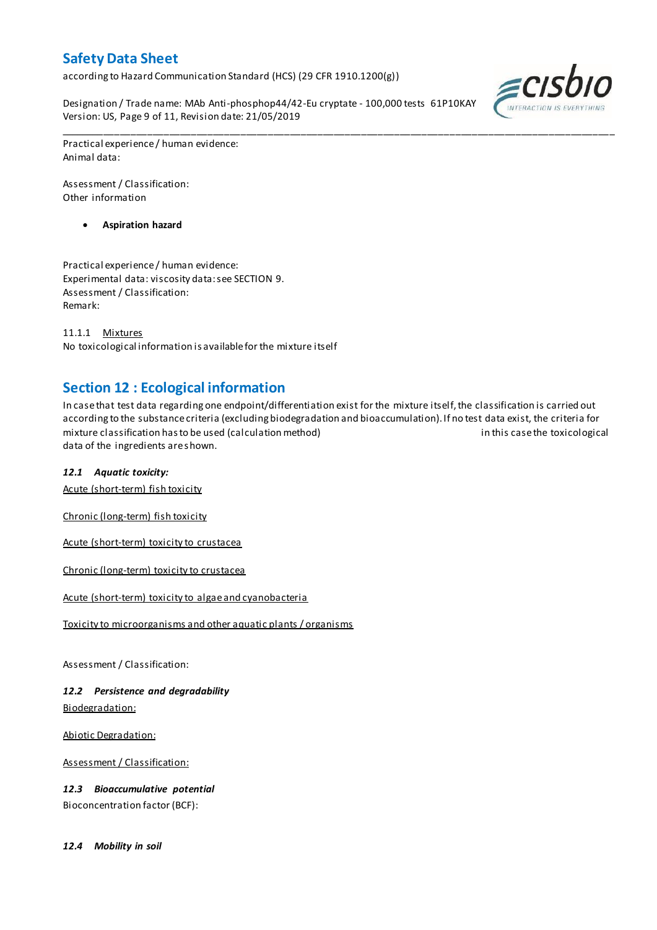according to Hazard Communication Standard (HCS) (29 CFR 1910.1200(g))

Designation / Trade name: MAb Anti-phosphop44/42-Eu cryptate - 100,000 tests 61P10KAY Version: US, Page 9 of 11, Revision date: 21/05/2019



Practical experience / human evidence: Animal data:

Assessment / Classification: Other information

**Aspiration hazard**

Practical experience / human evidence: Experimental data: viscosity data: see SECTION 9. Assessment / Classification: Remark:

11.1.1 Mixtures No toxicological information is available for the mixture itself

# **Section 12 : Ecological information**

In case that test data regarding one endpoint/differentiation exist for the mixture itself, the classification is carried out according to the substance criteria (excluding biodegradation and bioaccumulation). If no test data exist, the criteria for mixture classification has to be used (calculation method) in this case the toxicological data of the ingredients are shown.

\_\_\_\_\_\_\_\_\_\_\_\_\_\_\_\_\_\_\_\_\_\_\_\_\_\_\_\_\_\_\_\_\_\_\_\_\_\_\_\_\_\_\_\_\_\_\_\_\_\_\_\_\_\_\_\_\_\_\_\_\_\_\_\_\_\_\_\_\_\_\_\_\_\_\_\_\_\_\_\_\_\_\_\_\_\_\_\_\_\_\_\_\_\_\_\_\_\_\_\_\_

### *12.1 Aquatic toxicity:*

Acute (short-term) fish toxicity

Chronic (long-term) fish toxicity

Acute (short-term) toxicity to crustacea

Chronic (long-term) toxicity to crustacea

Acute (short-term) toxicity to algae and cyanobacteria

Toxicity to microorganisms and other aquatic plants / organisms

Assessment / Classification:

*12.2 Persistence and degradability* Biodegradation:

Abiotic Degradation:

Assessment / Classification:

*12.3 Bioaccumulative potential* Bioconcentration factor (BCF):

*12.4 Mobility in soil*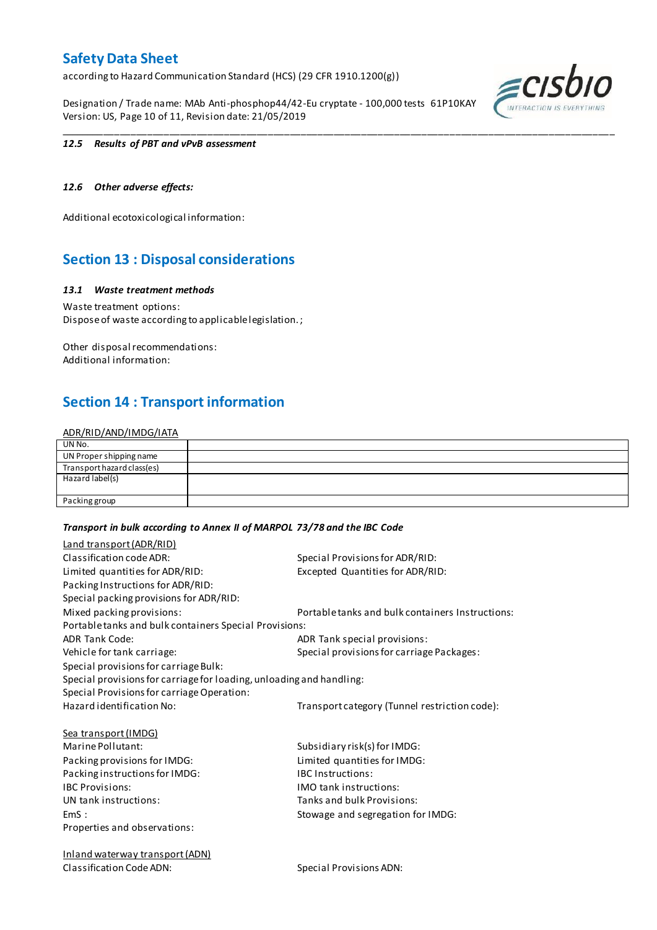according to Hazard Communication Standard (HCS) (29 CFR 1910.1200(g))

Designation / Trade name: MAb Anti-phosphop44/42-Eu cryptate - 100,000 tests 61P10KAY Version: US, Page 10 of 11, Revision date: 21/05/2019



#### *12.5 Results of PBT and vPvB assessment*

### *12.6 Other adverse effects:*

Additional ecotoxicological information:

### **Section 13 : Disposal considerations**

#### *13.1 Waste treatment methods*

Waste treatment options: Dispose of waste according to applicable legislation. ;

Other disposal recommendations: Additional information:

### **Section 14 : Transport information**

#### ADR/RID/AND/IMDG/IATA

| UN No.                     |  |
|----------------------------|--|
| UN Proper shipping name    |  |
| Transport hazard class(es) |  |
| Hazard label(s)            |  |
|                            |  |
| Packing group              |  |

\_\_\_\_\_\_\_\_\_\_\_\_\_\_\_\_\_\_\_\_\_\_\_\_\_\_\_\_\_\_\_\_\_\_\_\_\_\_\_\_\_\_\_\_\_\_\_\_\_\_\_\_\_\_\_\_\_\_\_\_\_\_\_\_\_\_\_\_\_\_\_\_\_\_\_\_\_\_\_\_\_\_\_\_\_\_\_\_\_\_\_\_\_\_\_\_\_\_\_\_\_

#### *Transport in bulk according to Annex II of MARPOL 73/78 and the IBC Code*

| Land transport (ADR/RID)                                             |                                                  |
|----------------------------------------------------------------------|--------------------------------------------------|
| Classification code ADR:                                             | Special Provisions for ADR/RID:                  |
| Limited quantities for ADR/RID:                                      | Excepted Quantities for ADR/RID:                 |
| Packing Instructions for ADR/RID:                                    |                                                  |
| Special packing provisions for ADR/RID:                              |                                                  |
| Mixed packing provisions:                                            | Portable tanks and bulk containers Instructions: |
| Portable tanks and bulk containers Special Provisions:               |                                                  |
| <b>ADR Tank Code:</b>                                                | ADR Tank special provisions:                     |
| Vehicle for tank carriage:                                           | Special provisions for carriage Packages:        |
| Special provisions for carriage Bulk:                                |                                                  |
| Special provisions for carriage for loading, unloading and handling: |                                                  |
| Special Provisions for carriage Operation:                           |                                                  |
| Hazard identification No:                                            | Transport category (Tunnel restriction code):    |
| <b>Sea transport (IMDG)</b>                                          |                                                  |
| Marine Pollutant:                                                    | Subsidiary risk(s) for IMDG:                     |
| Packing provisions for IMDG:                                         | Limited quantities for IMDG:                     |
| Packing instructions for IMDG:                                       | <b>IBC</b> Instructions:                         |
| <b>IBC Provisions:</b>                                               | <b>IMO</b> tank instructions:                    |
| UN tank instructions:                                                | Tanks and bulk Provisions:                       |
| EmS:                                                                 | Stowage and segregation for IMDG:                |
| Properties and observations:                                         |                                                  |
| <b>Inland waterway transport (ADN)</b>                               |                                                  |

Classification Code ADN: Special Provisions ADN: